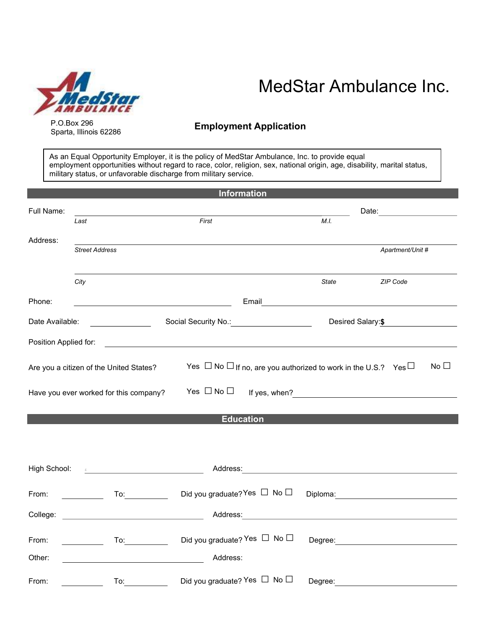

P.O.Box 296 Sparta, Illinois 62286

# MedStar Ambulance Inc.

## Employment Application

As an Equal Opportunity Employer, it is the policy of MedStar Ambulance, Inc. to provide equal employment opportunities without regard to race, color, religion, sex, national origin, age, disability, marital status, military status, or unfavorable discharge from military service.

| <b>Information</b>    |                                                                                                                                                                                                                                                                                                                                                                   |                                                                                                                                                                                                                                |                   |                                                                                                                                                                                                                                |
|-----------------------|-------------------------------------------------------------------------------------------------------------------------------------------------------------------------------------------------------------------------------------------------------------------------------------------------------------------------------------------------------------------|--------------------------------------------------------------------------------------------------------------------------------------------------------------------------------------------------------------------------------|-------------------|--------------------------------------------------------------------------------------------------------------------------------------------------------------------------------------------------------------------------------|
| Full Name:            |                                                                                                                                                                                                                                                                                                                                                                   |                                                                                                                                                                                                                                |                   | Date: <u>___________________</u>                                                                                                                                                                                               |
|                       | Last                                                                                                                                                                                                                                                                                                                                                              | First                                                                                                                                                                                                                          | M.I.              |                                                                                                                                                                                                                                |
| Address:              |                                                                                                                                                                                                                                                                                                                                                                   |                                                                                                                                                                                                                                |                   |                                                                                                                                                                                                                                |
|                       | <b>Street Address</b>                                                                                                                                                                                                                                                                                                                                             |                                                                                                                                                                                                                                |                   | Apartment/Unit #                                                                                                                                                                                                               |
|                       | City                                                                                                                                                                                                                                                                                                                                                              |                                                                                                                                                                                                                                | State             | ZIP Code                                                                                                                                                                                                                       |
|                       |                                                                                                                                                                                                                                                                                                                                                                   |                                                                                                                                                                                                                                |                   |                                                                                                                                                                                                                                |
| Phone:                |                                                                                                                                                                                                                                                                                                                                                                   | <u> 1989 - Johann Barbara, martxa amerikan personal (</u>                                                                                                                                                                      |                   |                                                                                                                                                                                                                                |
| Date Available:       |                                                                                                                                                                                                                                                                                                                                                                   |                                                                                                                                                                                                                                | Desired Salary:\$ |                                                                                                                                                                                                                                |
| Position Applied for: |                                                                                                                                                                                                                                                                                                                                                                   |                                                                                                                                                                                                                                |                   |                                                                                                                                                                                                                                |
|                       | Are you a citizen of the United States?<br>Have you ever worked for this company?                                                                                                                                                                                                                                                                                 | Yes $\Box$ No $\Box$ If no, are you authorized to work in the U.S.? Yes $\Box$<br>Yes $\Box$ No $\Box$                                                                                                                         |                   | No $\square$                                                                                                                                                                                                                   |
|                       |                                                                                                                                                                                                                                                                                                                                                                   | <b>Education</b>                                                                                                                                                                                                               |                   |                                                                                                                                                                                                                                |
|                       |                                                                                                                                                                                                                                                                                                                                                                   |                                                                                                                                                                                                                                |                   |                                                                                                                                                                                                                                |
|                       |                                                                                                                                                                                                                                                                                                                                                                   |                                                                                                                                                                                                                                |                   |                                                                                                                                                                                                                                |
| High School:          | $\begin{picture}(100,100)(0,0) \put(0,0){\vector(1,0){100}} \put(10,0){\vector(1,0){100}} \put(10,0){\vector(1,0){100}} \put(10,0){\vector(1,0){100}} \put(10,0){\vector(1,0){100}} \put(10,0){\vector(1,0){100}} \put(10,0){\vector(1,0){100}} \put(10,0){\vector(1,0){100}} \put(10,0){\vector(1,0){100}} \put(10,0){\vector(1,0){100}} \put(10,0){\vector(1,0$ |                                                                                                                                                                                                                                |                   |                                                                                                                                                                                                                                |
| From:                 | $\overline{a}$ To: $\overline{a}$<br><u>and the state</u>                                                                                                                                                                                                                                                                                                         | Did you graduate? Yes $\Box$ No $\Box$                                                                                                                                                                                         |                   | Diploma: _________________________                                                                                                                                                                                             |
|                       | College: College:                                                                                                                                                                                                                                                                                                                                                 | Address: Analysis and the state of the state of the state of the state of the state of the state of the state of the state of the state of the state of the state of the state of the state of the state of the state of the s |                   |                                                                                                                                                                                                                                |
| From:                 | <u>and a strong to</u>                                                                                                                                                                                                                                                                                                                                            | Did you graduate? Yes □ No □                                                                                                                                                                                                   |                   |                                                                                                                                                                                                                                |
| Other:                |                                                                                                                                                                                                                                                                                                                                                                   | Address:                                                                                                                                                                                                                       |                   |                                                                                                                                                                                                                                |
| From:                 | To: and the state of the state of the state of the state of the state of the state of the state of the state o                                                                                                                                                                                                                                                    | Did you graduate? Yes □ No □                                                                                                                                                                                                   |                   | Degree: the contract of the contract of the contract of the contract of the contract of the contract of the contract of the contract of the contract of the contract of the contract of the contract of the contract of the co |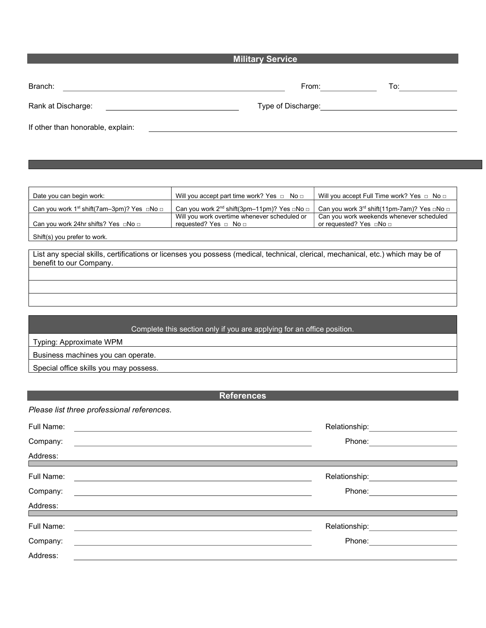### **Military Service**

| Branch:                           | From:              | To: |
|-----------------------------------|--------------------|-----|
| Rank at Discharge:                | Type of Discharge: |     |
| If other than honorable, explain: |                    |     |

Date you can begin work: Will you accept part time work? Yes □ No □ Will you accept Full Time work? Yes □ No □ Can you work 1st shift(7am–3pm)? Yes □No □ Can you work 2<sup>nd</sup> shift(3pm–11pm)? Yes □No □ Can you work 3<sup>rd</sup> shift(11pm-7am)? Yes □No □ Can you work 24hr shifts? Yes □No □ Will you work overtime whenever scheduled or requested? Yes □ No □ Can you work weekends whenever scheduled or requested? Yes □No □ Shift(s) you prefer to work.

List any special skills, certifications or licenses you possess (medical, technical, clerical, mechanical, etc.) which may be of benefit to our Company.

#### Complete this section only if you are applying for an office position.

Typing: Approximate WPM

Business machines you can operate.

Special office skills you may possess.

#### References

Please list three professional references.

| Relationship:               | Full Name: |
|-----------------------------|------------|
| Phone:                      | Company:   |
|                             | Address:   |
|                             |            |
| Relationship: Nelationship: | Full Name: |
| Phone:                      | Company:   |
|                             | Address:   |
|                             |            |
| Relationship:               | Full Name: |
| Phone:                      | Company:   |
|                             | Address:   |
|                             |            |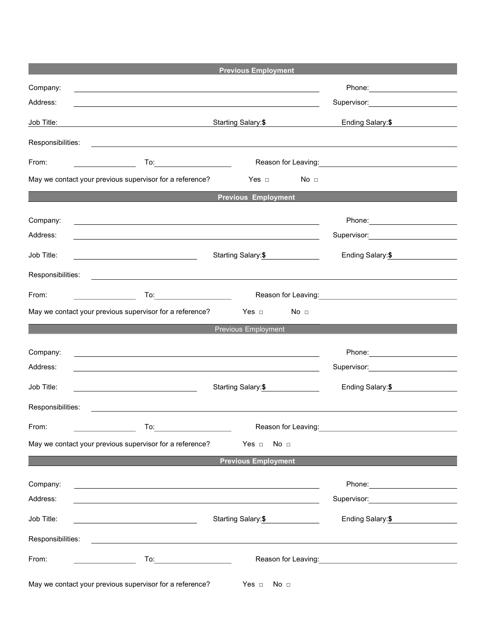|                   | <b>Previous Employment</b>                                                                                       |                                                                                                                                                                                                                                      |
|-------------------|------------------------------------------------------------------------------------------------------------------|--------------------------------------------------------------------------------------------------------------------------------------------------------------------------------------------------------------------------------------|
| Company:          | ,我们也不能在这里的时候,我们也不能在这里的时候,我们也不能会在这里的时候,我们也不能会在这里的时候,我们也不能会在这里的时候,我们也不能会在这里的时候,我们也                                 |                                                                                                                                                                                                                                      |
| Address:          |                                                                                                                  | Supervisor: <b>Example 2019</b>                                                                                                                                                                                                      |
| Job Title:        | Starting Salary:\$                                                                                               | Ending Salary: \$                                                                                                                                                                                                                    |
| Responsibilities: |                                                                                                                  |                                                                                                                                                                                                                                      |
| From:             |                                                                                                                  | Reason for Leaving: <b>Container the Contract of Leaving</b>                                                                                                                                                                         |
|                   | No <sub>1</sub><br>May we contact your previous supervisor for a reference?<br>Yes  □                            |                                                                                                                                                                                                                                      |
|                   | <b>Previous Employment</b>                                                                                       |                                                                                                                                                                                                                                      |
| Company:          | <u> 1989 - Andrea Stadt Britain, amerikansk politik (d. 1989)</u>                                                | Phone: _________________________                                                                                                                                                                                                     |
| Address:          | and the control of the control of the control of the control of the control of the control of the control of the | Supervisor: Victor Contract Contract Contract Contract Contract Contract Contract Contract Contract Contract Co                                                                                                                      |
| Job Title:        | Starting Salary:\$                                                                                               | Ending Salary:\$                                                                                                                                                                                                                     |
| Responsibilities: |                                                                                                                  |                                                                                                                                                                                                                                      |
| From:             | To <u>:_________________________</u>                                                                             | Reason for Leaving: <u>contained and the set of the set of the set of the set of the set of the set of the set of the set of the set of the set of the set of the set of the set of the set of the set of the set of the set of </u> |
|                   | May we contact your previous supervisor for a reference?<br>No <sub>1</sub>                                      |                                                                                                                                                                                                                                      |
|                   | Previous Employment                                                                                              |                                                                                                                                                                                                                                      |
| Company:          | and the control of the control of the control of the control of the control of the control of the control of the |                                                                                                                                                                                                                                      |
| Address:          | and the control of the control of the control of the control of the control of the control of the control of the | Supervisor: 2000 Contract Contract Contract Contract Contract Contract Contract Contract Contract Co                                                                                                                                 |
| Job Title:        | Starting Salary:\$                                                                                               | Ending Salary:\$                                                                                                                                                                                                                     |
| Responsibilities: |                                                                                                                  |                                                                                                                                                                                                                                      |
| From:             | To:                                                                                                              |                                                                                                                                                                                                                                      |
|                   | May we contact your previous supervisor for a reference?<br>Yes $\Box$<br>No <sub>1</sub>                        |                                                                                                                                                                                                                                      |
|                   | <b>Previous Employment</b>                                                                                       |                                                                                                                                                                                                                                      |
| Company:          | and the control of the control of the control of the control of the control of the control of the control of the |                                                                                                                                                                                                                                      |
| Address:          |                                                                                                                  | Supervisor: Victor Contract Contract Contract Contract Contract Contract Contract Contract Contract Contract Co                                                                                                                      |
| Job Title:        | Starting Salary: \$                                                                                              | Ending Salary: \$                                                                                                                                                                                                                    |
| Responsibilities: | <u> 1980 - Johann Barbara, martxa alemaniar amerikan a</u>                                                       |                                                                                                                                                                                                                                      |
| From:             | To: _______________                                                                                              |                                                                                                                                                                                                                                      |
|                   | May we contact your previous supervisor for a reference?<br>Yes $\Box$<br>No <sub>1</sub>                        |                                                                                                                                                                                                                                      |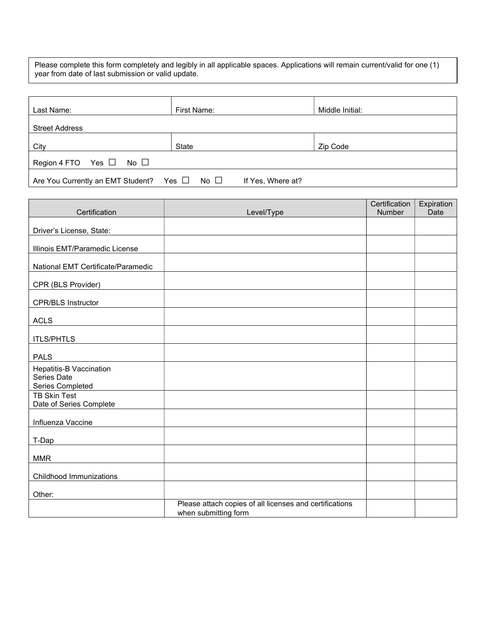Please complete this form completely and legibly in all applicable spaces. Applications will remain current/valid for one (1) year from date of last submission or valid update.

| Last Name:                                             | First Name:       | Middle Initial: |
|--------------------------------------------------------|-------------------|-----------------|
| <b>Street Address</b>                                  |                   |                 |
| City                                                   | State             | Zip Code        |
| Region 4 FTO Yes $\Box$ No $\Box$                      |                   |                 |
| Are You Currently an EMT Student? Yes $\Box$ No $\Box$ | If Yes, Where at? |                 |

| Certification                                  | Level/Type                                              | Certification<br>Number | Expiration<br>Date |
|------------------------------------------------|---------------------------------------------------------|-------------------------|--------------------|
|                                                |                                                         |                         |                    |
| Driver's License, State:                       |                                                         |                         |                    |
| Illinois EMT/Paramedic License                 |                                                         |                         |                    |
| National EMT Certificate/Paramedic             |                                                         |                         |                    |
| CPR (BLS Provider)                             |                                                         |                         |                    |
| <b>CPR/BLS Instructor</b>                      |                                                         |                         |                    |
| <b>ACLS</b>                                    |                                                         |                         |                    |
| <b>ITLS/PHTLS</b>                              |                                                         |                         |                    |
| <b>PALS</b>                                    |                                                         |                         |                    |
| Hepatitis-B Vaccination<br>Series Date         |                                                         |                         |                    |
| Series Completed                               |                                                         |                         |                    |
| <b>TB Skin Test</b><br>Date of Series Complete |                                                         |                         |                    |
| Influenza Vaccine                              |                                                         |                         |                    |
| T-Dap                                          |                                                         |                         |                    |
| <b>MMR</b>                                     |                                                         |                         |                    |
| Childhood Immunizations                        |                                                         |                         |                    |
| Other:                                         |                                                         |                         |                    |
|                                                | Please attach copies of all licenses and certifications |                         |                    |
|                                                | when submitting form                                    |                         |                    |